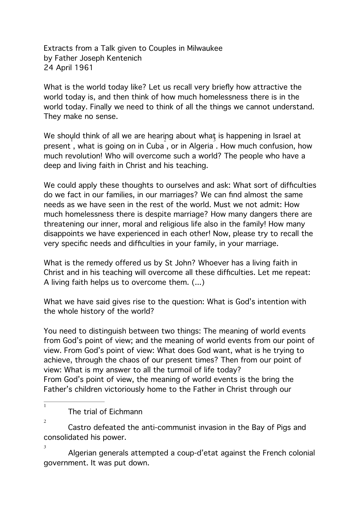Extracts from a Talk given to Couples in Milwaukee by Father Joseph Kentenich 24 April 1961

What is the world today like? Let us recall very briefly how attractive the world today is, and then think of how much homelessness there is in the world today. Finally we need to think of all the things we cannot understand. They make no sense.

We shoµld think of all we are hearing about wha $\bm{{\mathfrak{z}}}$  is happening in Israel at present , what is going on in Cuba , or in Algeria . How much confusion, how much revolution! Who will overcome such a world? The people who have a deep and living faith in Christ and his teaching.

We could apply these thoughts to ourselves and ask: What sort of difficulties do we fact in our families, in our marriages? We can find almost the same needs as we have seen in the rest of the world. Must we not admit: How much homelessness there is despite marriage? How many dangers there are threatening our inner, moral and religious life also in the family! How many disappoints we have experienced in each other! Now, please try to recall the very specific needs and difficulties in your family, in your marriage.

What is the remedy offered us by St John? Whoever has a living faith in Christ and in his teaching will overcome all these difficulties. Let me repeat: A living faith helps us to overcome them. (...)

What we have said gives rise to the question: What is God's intention with the whole history of the world?

You need to distinguish between two things: The meaning of world events from God's point of view; and the meaning of world events from our point of view. From God's point of view: What does God want, what is he trying to achieve, through the chaos of our present times? Then from our point of view: What is my answer to all the turmoil of life today? From God's point of view, the meaning of world events is the bring the Father's children victoriously home to the Father in Christ through our

 The trial of Eichmann  $\overline{1}$ 

 Castro defeated the anti-communist invasion in the Bay of Pigs and 2 consolidated his power.

 Algerian generals attempted a coup-d'etat against the French colonial 3 government. It was put down.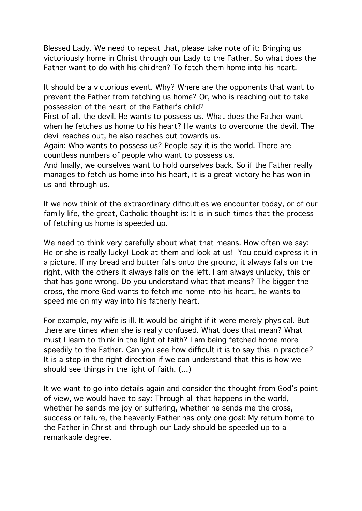Blessed Lady. We need to repeat that, please take note of it: Bringing us victoriously home in Christ through our Lady to the Father. So what does the Father want to do with his children? To fetch them home into his heart.

It should be a victorious event. Why? Where are the opponents that want to prevent the Father from fetching us home? Or, who is reaching out to take possession of the heart of the Father's child?

First of all, the devil. He wants to possess us. What does the Father want when he fetches us home to his heart? He wants to overcome the devil. The devil reaches out, he also reaches out towards us.

Again: Who wants to possess us? People say it is the world. There are countless numbers of people who want to possess us.

And finally, we ourselves want to hold ourselves back. So if the Father really manages to fetch us home into his heart, it is a great victory he has won in us and through us.

If we now think of the extraordinary difficulties we encounter today, or of our family life, the great, Catholic thought is: It is in such times that the process of fetching us home is speeded up.

We need to think very carefully about what that means. How often we say: He or she is really lucky! Look at them and look at us! You could express it in a picture. If my bread and butter falls onto the ground, it always falls on the right, with the others it always falls on the left. I am always unlucky, this or that has gone wrong. Do you understand what that means? The bigger the cross, the more God wants to fetch me home into his heart, he wants to speed me on my way into his fatherly heart.

For example, my wife is ill. It would be alright if it were merely physical. But there are times when she is really confused. What does that mean? What must I learn to think in the light of faith? I am being fetched home more speedily to the Father. Can you see how difficult it is to say this in practice? It is a step in the right direction if we can understand that this is how we should see things in the light of faith. (...)

It we want to go into details again and consider the thought from God's point of view, we would have to say: Through all that happens in the world, whether he sends me joy or suffering, whether he sends me the cross, success or failure, the heavenly Father has only one goal: My return home to the Father in Christ and through our Lady should be speeded up to a remarkable degree.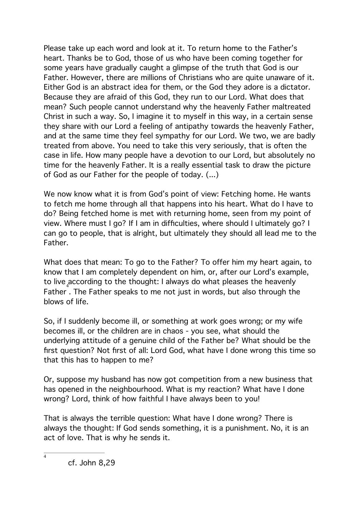Please take up each word and look at it. To return home to the Father's heart. Thanks be to God, those of us who have been coming together for some years have gradually caught a glimpse of the truth that God is our Father. However, there are millions of Christians who are quite unaware of it. Either God is an abstract idea for them, or the God they adore is a dictator. Because they are afraid of this God, they run to our Lord. What does that mean? Such people cannot understand why the heavenly Father maltreated Christ in such a way. So, I imagine it to myself in this way, in a certain sense they share with our Lord a feeling of antipathy towards the heavenly Father, and at the same time they feel sympathy for our Lord. We two, we are badly treated from above. You need to take this very seriously, that is often the case in life. How many people have a devotion to our Lord, but absolutely no time for the heavenly Father. It is a really essential task to draw the picture of God as our Father for the people of today. (...)

We now know what it is from God's point of view: Fetching home. He wants to fetch me home through all that happens into his heart. What do I have to do? Being fetched home is met with returning home, seen from my point of view. Where must I go? If I am in difficulties, where should I ultimately go? I can go to people, that is alright, but ultimately they should all lead me to the Father.

What does that mean: To go to the Father? To offer him my heart again, to know that I am completely dependent on him, or, after our Lord's example, to live $_4$ according to the thought: I always do what pleases the heavenly Father . The Father speaks to me not just in words, but also through the blows of life.

So, if I suddenly become ill, or something at work goes wrong; or my wife becomes ill, or the children are in chaos - you see, what should the underlying attitude of a genuine child of the Father be? What should be the first question? Not first of all: Lord God, what have I done wrong this time so that this has to happen to me?

Or, suppose my husband has now got competition from a new business that has opened in the neighbourhood. What is my reaction? What have I done wrong? Lord, think of how faithful I have always been to you!

That is always the terrible question: What have I done wrong? There is always the thought: If God sends something, it is a punishment. No, it is an act of love. That is why he sends it.

 $\overline{4}$ 

cf. John 8,29